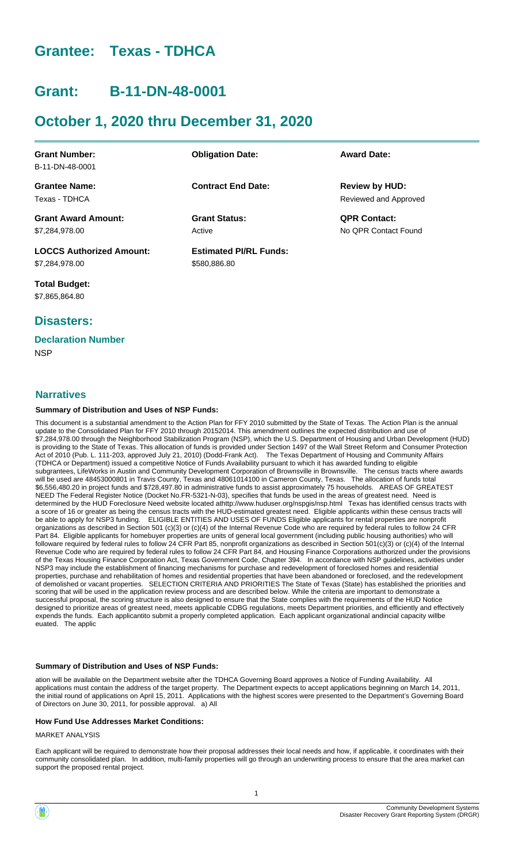# **Grantee: Texas - TDHCA**

# **Grant: B-11-DN-48-0001**

# **October 1, 2020 thru December 31, 2020**

| <b>Grant Number:</b>            | <b>Obligation Date:</b>       | <b>Award Date:</b>    |
|---------------------------------|-------------------------------|-----------------------|
| B-11-DN-48-0001                 |                               |                       |
| <b>Grantee Name:</b>            | <b>Contract End Date:</b>     | <b>Review by HUD:</b> |
| Texas - TDHCA                   |                               | Reviewed and Approved |
| <b>Grant Award Amount:</b>      | <b>Grant Status:</b>          | <b>QPR Contact:</b>   |
| \$7,284,978.00                  | Active                        | No OPR Contact Found  |
| <b>LOCCS Authorized Amount:</b> | <b>Estimated PI/RL Funds:</b> |                       |
| \$7,284,978.00                  | \$580,886.80                  |                       |

**Total Budget:** \$7,865,864.80

# **Disasters:**

# **Declaration Number**

**NSP** 

## **Narratives**

#### **Summary of Distribution and Uses of NSP Funds:**

This document is a substantial amendment to the Action Plan for FFY 2010 submitted by the State of Texas. The Action Plan is the annual update to the Consolidated Plan for FFY 2010 through 20152014. This amendment outlines the expected distribution and use of \$7,284,978.00 through the Neighborhood Stabilization Program (NSP), which the U.S. Department of Housing and Urban Development (HUD) is providing to the State of Texas. This allocation of funds is provided under Section 1497 of the Wall Street Reform and Consumer Protection Act of 2010 (Pub. L. 111-203, approved July 21, 2010) (Dodd-Frank Act). The Texas Department of Housing and Community Affairs (TDHCA or Department) issued a competitive Notice of Funds Availability pursuant to which it has awarded funding to eligible subgrantees, LifeWorks in Austin and Community Development Corporation of Brownsville in Brownsville. The census tracts where awards will be used are 48453000801 in Travis County, Texas and 48061014100 in Cameron County, Texas. The allocation of funds total \$6,556,480.20 in project funds and \$728,497.80 in administrative funds to assist approximately 75 households. AREAS OF GREATEST NEED The Federal Register Notice (Docket No.FR-5321-N-03), specifies that funds be used in the areas of greatest need. Need is determined by the HUD Foreclosure Need website located athttp://www.huduser.org/nspgis/nsp.html Texas has identified census tracts with a score of 16 or greater as being the census tracts with the HUD-estimated greatest need. Eligible applicants within these census tracts will be able to apply for NSP3 funding. ELIGIBLE ENTITIES AND USES OF FUNDS Eligible applicants for rental properties are nonprofit organizations as described in Section 501 (c)(3) or (c)(4) of the Internal Revenue Code who are required by federal rules to follow 24 CFR Part 84. Eligible applicants for homebuyer properties are units of general local government (including public housing authorities) who will followare required by federal rules to follow 24 CFR Part 85, nonprofit organizations as described in Section 501(c)(3) or (c)(4) of the Internal Revenue Code who are required by federal rules to follow 24 CFR Part 84, and Housing Finance Corporations authorized under the provisions of the Texas Housing Finance Corporation Act, Texas Government Code, Chapter 394. In accordance with NSP guidelines, activities under NSP3 may include the establishment of financing mechanisms for purchase and redevelopment of foreclosed homes and residential properties, purchase and rehabilitation of homes and residential properties that have been abandoned or foreclosed, and the redevelopment of demolished or vacant properties. SELECTION CRITERIA AND PRIORITIES The State of Texas (State) has established the priorities and scoring that will be used in the application review process and are described below. While the criteria are important to demonstrate a successful proposal, the scoring structure is also designed to ensure that the State complies with the requirements of the HUD Notice designed to prioritize areas of greatest need, meets applicable CDBG regulations, meets Department priorities, and efficiently and effectively expends the funds. Each applicantito submit a properly completed application. Each applicant organizational andincial capacity willbe euated. The applic

#### **Summary of Distribution and Uses of NSP Funds:**

ation will be available on the Department website after the TDHCA Governing Board approves a Notice of Funding Availability. All applications must contain the address of the target property. The Department expects to accept applications beginning on March 14, 2011, the initial round of applications on April 15, 2011. Applications with the highest scores were presented to the Department's Governing Board of Directors on June 30, 2011, for possible approval. a) All

#### **How Fund Use Addresses Market Conditions:**

MARKET ANALYSIS

Each applicant will be required to demonstrate how their proposal addresses their local needs and how, if applicable, it coordinates with their community consolidated plan. In addition, multi-family properties will go through an underwriting process to ensure that the area market can support the proposed rental project.

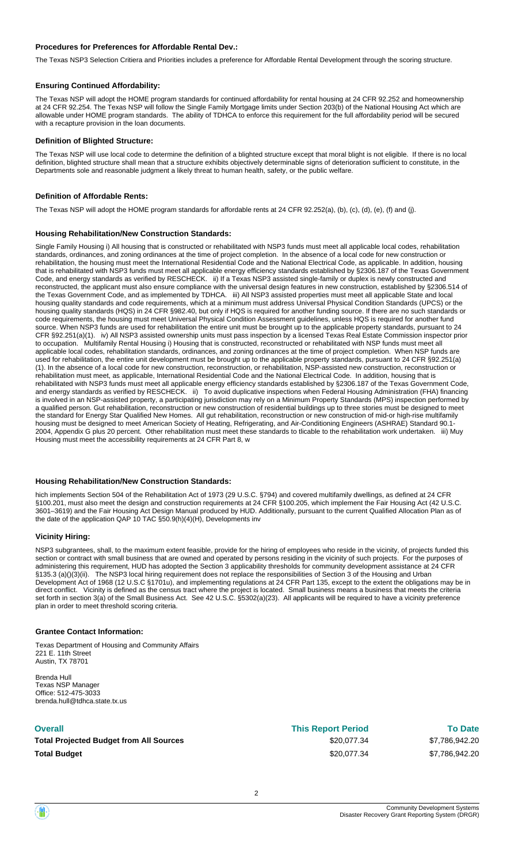#### **Procedures for Preferences for Affordable Rental Dev.:**

The Texas NSP3 Selection Critiera and Priorities includes a preference for Affordable Rental Development through the scoring structure.

#### **Ensuring Continued Affordability:**

The Texas NSP will adopt the HOME program standards for continued affordability for rental housing at 24 CFR 92.252 and homeownership at 24 CFR 92.254. The Texas NSP will follow the Single Family Mortgage limits under Section 203(b) of the National Housing Act which are allowable under HOME program standards. The ability of TDHCA to enforce this requirement for the full affordability period will be secured with a recapture provision in the loan documents.

#### **Definition of Blighted Structure:**

The Texas NSP will use local code to determine the definition of a blighted structure except that moral blight is not eligible. If there is no local definition, blighted structure shall mean that a structure exhibits objectively determinable signs of deterioration sufficient to constitute, in the Departments sole and reasonable judgment a likely threat to human health, safety, or the public welfare.

#### **Definition of Affordable Rents:**

The Texas NSP will adopt the HOME program standards for affordable rents at 24 CFR 92.252(a), (b), (c), (d), (e), (f) and (j).

#### **Housing Rehabilitation/New Construction Standards:**

Single Family Housing i) All housing that is constructed or rehabilitated with NSP3 funds must meet all applicable local codes, rehabilitation standards, ordinances, and zoning ordinances at the time of project completion. In the absence of a local code for new construction or rehabilitation, the housing must meet the International Residential Code and the National Electrical Code, as applicable. In addition, housing that is rehabilitated with NSP3 funds must meet all applicable energy efficiency standards established by §2306.187 of the Texas Government Code, and energy standards as verified by RESCHECK. ii) If a Texas NSP3 assisted single-family or duplex is newly constructed and reconstructed, the applicant must also ensure compliance with the universal design features in new construction, established by §2306.514 of the Texas Government Code, and as implemented by TDHCA. iii) All NSP3 assisted properties must meet all applicable State and local housing quality standards and code requirements, which at a minimum must address Universal Physical Condition Standards (UPCS) or the housing quality standards (HQS) in 24 CFR §982.40, but only if HQS is required for another funding source. If there are no such standards or code requirements, the housing must meet Universal Physical Condition Assessment guidelines, unless HQS is required for another fund source. When NSP3 funds are used for rehabilitation the entire unit must be brought up to the applicable property standards, pursuant to 24 CFR §92.251(a)(1). iv) All NSP3 assisted ownership units must pass inspection by a licensed Texas Real Estate Commission inspector prior to occupation. Multifamily Rental Housing i) Housing that is constructed, reconstructed or rehabilitated with NSP funds must meet all applicable local codes, rehabilitation standards, ordinances, and zoning ordinances at the time of project completion. When NSP funds are used for rehabilitation, the entire unit development must be brought up to the applicable property standards, pursuant to 24 CFR §92.251(a) (1). In the absence of a local code for new construction, reconstruction, or rehabilitation, NSP-assisted new construction, reconstruction or rehabilitation must meet, as applicable, International Residential Code and the National Electrical Code. In addition, housing that is rehabilitated with NSP3 funds must meet all applicable energy efficiency standards established by §2306.187 of the Texas Government Code, and energy standards as verified by RESCHECK. ii) To avoid duplicative inspections when Federal Housing Administration (FHA) financing is involved in an NSP-assisted property, a participating jurisdiction may rely on a Minimum Property Standards (MPS) inspection performed by a qualified person. Gut rehabilitation, reconstruction or new construction of residential buildings up to three stories must be designed to meet the standard for Energy Star Qualified New Homes. All gut rehabilitation, reconstruction or new construction of mid-or high-rise multifamily housing must be designed to meet American Society of Heating, Refrigerating, and Air-Conditioning Engineers (ASHRAE) Standard 90.1- 2004, Appendix G plus 20 percent. Other rehabilitation must meet these standards to tlicable to the rehabilitation work undertaken. iii) Muy Housing must meet the accessibility requirements at 24 CFR Part 8, w

#### **Housing Rehabilitation/New Construction Standards:**

hich implements Section 504 of the Rehabilitation Act of 1973 (29 U.S.C. §794) and covered multifamily dwellings, as defined at 24 CFR §100.201, must also meet the design and construction requirements at 24 CFR §100.205, which implement the Fair Housing Act (42 U.S.C. 3601–3619) and the Fair Housing Act Design Manual produced by HUD. Additionally, pursuant to the current Qualified Allocation Plan as of the date of the application QAP 10 TAC §50.9(h)(4)(H), Developments inv

#### **Vicinity Hiring:**

NSP3 subgrantees, shall, to the maximum extent feasible, provide for the hiring of employees who reside in the vicinity, of projects funded this section or contract with small business that are owned and operated by persons residing in the vicinity of such projects. For the purposes of administering this requirement, HUD has adopted the Section 3 applicability thresholds for community development assistance at 24 CFR §135.3 (a)()(3)(ii). The NSP3 local hiring requirement does not replace the responsibilities of Section 3 of the Housing and Urban Development Act of 1968 (12 U.S.C §1701u), and implementing regulations at 24 CFR Part 135, except to the extent the obligations may be in direct conflict. Vicinity is defined as the census tract where the project is located. Small business means a business that meets the criteria set forth in section 3(a) of the Small Business Act. See 42 U.S.C. §5302(a)(23). All applicants will be required to have a vicinity preference plan in order to meet threshold scoring criteria.

#### **Grantee Contact Information:**

Texas Department of Housing and Community Affairs 221 E. 11th Street Austin, TX 78701

Brenda Hull Texas NSP Manager Office: 512-475-3033 brenda.hull@tdhca.state.tx.us

#### **Overall**

**Total Projected Budget from All Sources Total Budget**

| <b>This Report Period</b> |  |
|---------------------------|--|
| \$20,077.34               |  |
| \$20,077.34               |  |

\$7,786,942.20 **To Date** \$7,786,942.20

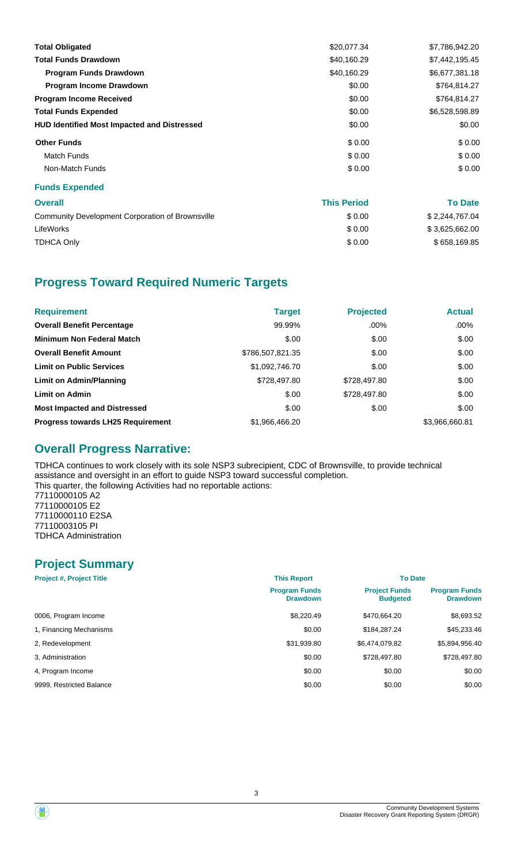| <b>Total Obligated</b>                             | \$20,077.34 | \$7,786,942.20 |
|----------------------------------------------------|-------------|----------------|
| <b>Total Funds Drawdown</b>                        | \$40,160.29 | \$7,442,195.45 |
| <b>Program Funds Drawdown</b>                      | \$40,160.29 | \$6,677,381.18 |
| <b>Program Income Drawdown</b>                     | \$0.00      | \$764,814.27   |
| <b>Program Income Received</b>                     | \$0.00      | \$764,814.27   |
| <b>Total Funds Expended</b>                        | \$0.00      | \$6,528,598.89 |
| <b>HUD Identified Most Impacted and Distressed</b> | \$0.00      | \$0.00         |
| <b>Other Funds</b>                                 | \$0.00      | \$0.00         |
| <b>Match Funds</b>                                 | \$0.00      | \$0.00         |
| Non-Match Funds                                    | \$0.00      | \$0.00         |
| <b>Funds Expended</b>                              |             |                |
|                                                    |             |                |

| <b>Overall</b>                                   | <b>This Period</b> | <b>To Date</b> |
|--------------------------------------------------|--------------------|----------------|
| Community Development Corporation of Brownsville | \$0.00             | \$2,244,767.04 |
| LifeWorks                                        | \$0.00             | \$3,625,662.00 |
| <b>TDHCA Only</b>                                | \$0.00             | \$658,169.85   |

# **Progress Toward Required Numeric Targets**

| <b>Requirement</b>                       | <b>Target</b>    | <b>Projected</b> | <b>Actual</b>  |
|------------------------------------------|------------------|------------------|----------------|
| <b>Overall Benefit Percentage</b>        | 99.99%           | $.00\%$          | $.00\%$        |
| <b>Minimum Non Federal Match</b>         | \$.00            | \$.00            | \$.00          |
| <b>Overall Benefit Amount</b>            | \$786,507,821.35 | \$.00            | \$.00          |
| <b>Limit on Public Services</b>          | \$1,092,746.70   | \$.00            | \$.00          |
| Limit on Admin/Planning                  | \$728,497.80     | \$728,497.80     | \$.00          |
| <b>Limit on Admin</b>                    | \$.00            | \$728,497.80     | \$.00          |
| <b>Most Impacted and Distressed</b>      | \$.00            | \$.00            | \$.00          |
| <b>Progress towards LH25 Requirement</b> | \$1,966,466.20   |                  | \$3,966,660.81 |

# **Overall Progress Narrative:**

TDHCA continues to work closely with its sole NSP3 subrecipient, CDC of Brownsville, to provide technical assistance and oversight in an effort to guide NSP3 toward successful completion. This quarter, the following Activities had no reportable actions: 77110000105 A2 77110000105 E2 77110000110 E2SA 77110003105 PI TDHCA Administration

# **Project Summary**

| <b>Project #, Project Title</b> | <b>This Report</b>                      | <b>To Date</b>                          |                                         |
|---------------------------------|-----------------------------------------|-----------------------------------------|-----------------------------------------|
|                                 | <b>Program Funds</b><br><b>Drawdown</b> | <b>Project Funds</b><br><b>Budgeted</b> | <b>Program Funds</b><br><b>Drawdown</b> |
| 0006, Program Income            | \$8,220.49                              | \$470,664.20                            | \$8,693.52                              |
| 1, Financing Mechanisms         | \$0.00                                  | \$184,287.24                            | \$45,233.46                             |
| 2, Redevelopment                | \$31,939.80                             | \$6,474,079.82                          | \$5,894,956.40                          |
| 3. Administration               | \$0.00                                  | \$728,497.80                            | \$728,497.80                            |
| 4. Program Income               | \$0.00                                  | \$0.00                                  | \$0.00                                  |
| 9999, Restricted Balance        | \$0.00                                  | \$0.00                                  | \$0.00                                  |

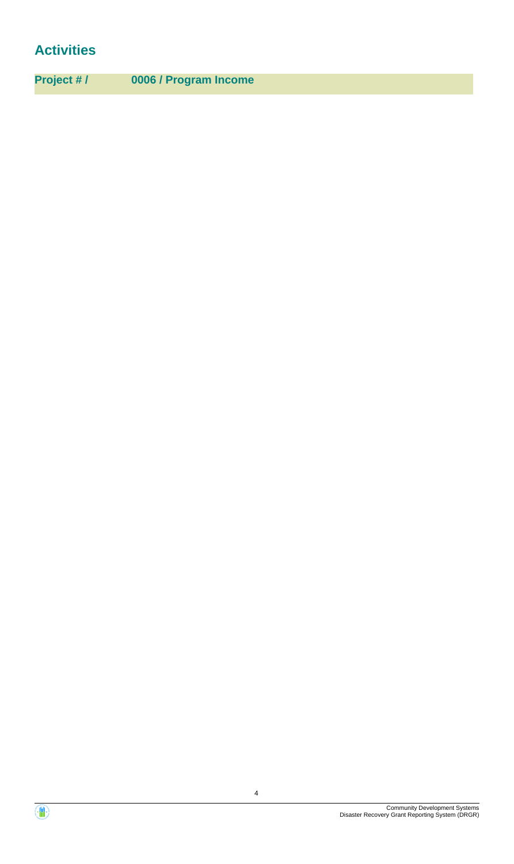# **Activities**

**Project # / 0006 / Program Income**

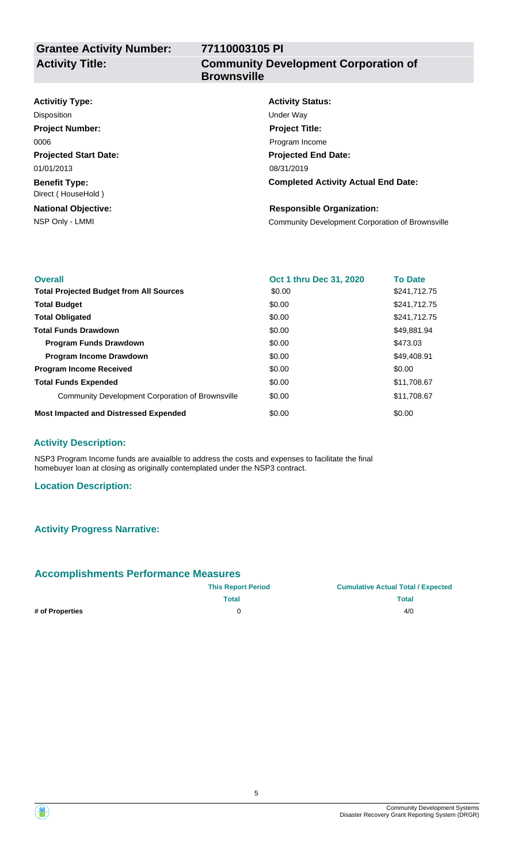# **77110003105 PI Community Development Corporation of Brownsville**

| <b>Activity Status:</b>                          |
|--------------------------------------------------|
| Under Way                                        |
| <b>Project Title:</b>                            |
| Program Income                                   |
| <b>Projected End Date:</b>                       |
| 08/31/2019                                       |
| <b>Completed Activity Actual End Date:</b>       |
| <b>Responsible Organization:</b>                 |
| Community Development Corporation of Brownsville |
|                                                  |

| <b>Overall</b>                                   | Oct 1 thru Dec 31, 2020 | <b>To Date</b> |
|--------------------------------------------------|-------------------------|----------------|
| <b>Total Projected Budget from All Sources</b>   | \$0.00                  | \$241,712.75   |
| <b>Total Budget</b>                              | \$0.00                  | \$241,712.75   |
| <b>Total Obligated</b>                           | \$0.00                  | \$241.712.75   |
| <b>Total Funds Drawdown</b>                      | \$0.00                  | \$49,881.94    |
| <b>Program Funds Drawdown</b>                    | \$0.00                  | \$473.03       |
| <b>Program Income Drawdown</b>                   | \$0.00                  | \$49.408.91    |
| <b>Program Income Received</b>                   | \$0.00                  | \$0.00         |
| <b>Total Funds Expended</b>                      | \$0.00                  | \$11,708.67    |
| Community Development Corporation of Brownsville | \$0.00                  | \$11,708.67    |
| <b>Most Impacted and Distressed Expended</b>     | \$0.00                  | \$0.00         |

## **Activity Description:**

NSP3 Program Income funds are avaialble to address the costs and expenses to facilitate the final homebuyer loan at closing as originally contemplated under the NSP3 contract.

### **Location Description:**

### **Activity Progress Narrative:**

### **Accomplishments Performance Measures**

|                 | <b>This Report Period</b> | <b>Cumulative Actual Total / Expected</b> |
|-----------------|---------------------------|-------------------------------------------|
|                 | Total                     | <b>Total</b>                              |
| # of Properties |                           | 4/0                                       |

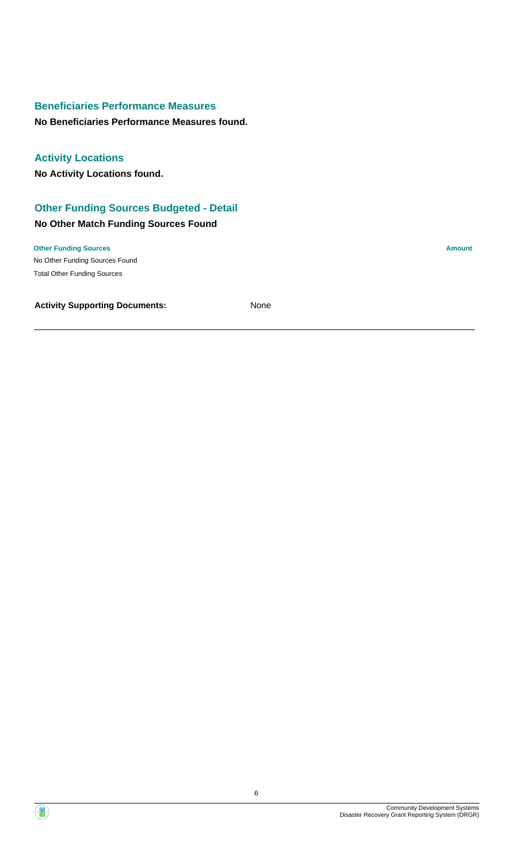# **Beneficiaries Performance Measures**

**No Beneficiaries Performance Measures found.**

## **Activity Locations**

**No Activity Locations found.**

# **Other Funding Sources Budgeted - Detail**

## **No Other Match Funding Sources Found**

No Other Funding Sources Found **Other Funding Sources Amount** Total Other Funding Sources

**Activity Supporting Documents:** None

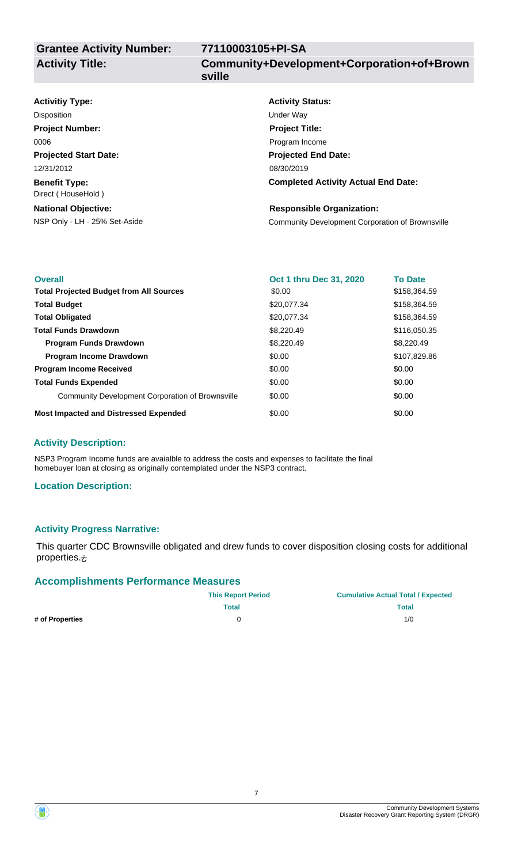# **77110003105+PI-SA**

**Community+Development+Corporation+of+Brown sville**

#### **Projected Start Date: Benefit Type:** NSP Only - LH - 25% Set-Aside Community Development Corporation of Brownsville **National Objective: Activity Status: Projected End Date: Completed Activity Actual End Date: Activitiy Type:** 08/30/2019 12/31/2012 Direct ( HouseHold ) **Responsible Organization:** Disposition **Disposition** Under Way **Project Number:** 0006 **Project Title:** Program Income

| <b>Overall</b>                                   | Oct 1 thru Dec 31, 2020 | <b>To Date</b> |
|--------------------------------------------------|-------------------------|----------------|
| <b>Total Projected Budget from All Sources</b>   | \$0.00                  | \$158,364.59   |
| <b>Total Budget</b>                              | \$20,077.34             | \$158,364.59   |
| <b>Total Obligated</b>                           | \$20,077.34             | \$158,364.59   |
| <b>Total Funds Drawdown</b>                      | \$8,220.49              | \$116,050.35   |
| <b>Program Funds Drawdown</b>                    | \$8,220.49              | \$8,220.49     |
| <b>Program Income Drawdown</b>                   | \$0.00                  | \$107,829.86   |
| <b>Program Income Received</b>                   | \$0.00                  | \$0.00         |
| <b>Total Funds Expended</b>                      | \$0.00                  | \$0.00         |
| Community Development Corporation of Brownsville | \$0.00                  | \$0.00         |
| <b>Most Impacted and Distressed Expended</b>     | \$0.00                  | \$0.00         |

## **Activity Description:**

NSP3 Program Income funds are avaialble to address the costs and expenses to facilitate the final homebuyer loan at closing as originally contemplated under the NSP3 contract.

## **Location Description:**

## **Activity Progress Narrative:**

This quarter CDC Brownsville obligated and drew funds to cover disposition closing costs for additional properties. $\dot{\tau}$ 

## **Accomplishments Performance Measures**

|                 | <b>This Report Period</b> | <b>Cumulative Actual Total / Expected</b> |
|-----------------|---------------------------|-------------------------------------------|
|                 | <b>Total</b>              | <b>Total</b>                              |
| # of Properties |                           | 1/0                                       |

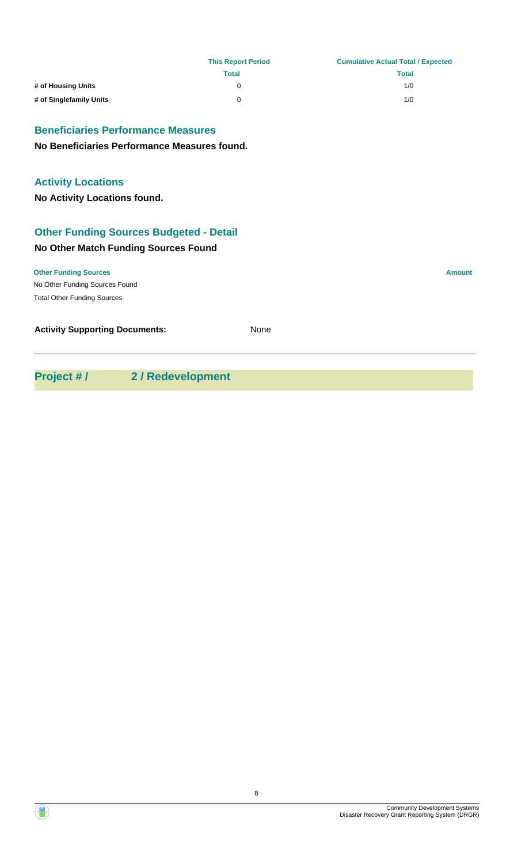|                                                | <b>This Report Period</b> | <b>Cumulative Actual Total / Expected</b> |
|------------------------------------------------|---------------------------|-------------------------------------------|
|                                                | <b>Total</b>              | <b>Total</b>                              |
| # of Housing Units                             | $\Omega$                  | 1/0                                       |
| # of Singlefamily Units                        | 0                         | 1/0                                       |
| <b>Beneficiaries Performance Measures</b>      |                           |                                           |
| No Beneficiaries Performance Measures found.   |                           |                                           |
| <b>Activity Locations</b>                      |                           |                                           |
| No Activity Locations found.                   |                           |                                           |
| <b>Other Funding Sources Budgeted - Detail</b> |                           |                                           |
| No Other Match Funding Sources Found           |                           |                                           |
| <b>Other Funding Sources</b>                   |                           | <b>Amount</b>                             |
| No Other Funding Sources Found                 |                           |                                           |
| <b>Total Other Funding Sources</b>             |                           |                                           |
| <b>Activity Supporting Documents:</b>          | None                      |                                           |
|                                                |                           |                                           |

**Project # / 2 / Redevelopment**

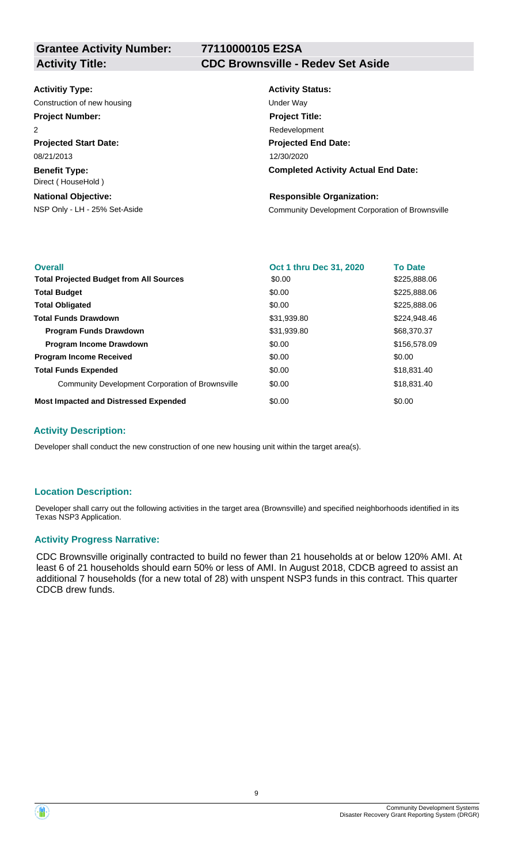**Grantee Activity Number:**

# **77110000105 E2SA**

# **Activity Title: CDC Brownsville - Redev Set Aside**

### **Activitiy Type:**

Construction of new housing Theorem 2012 Construction of new housing Under Way

# **Project Number:**

**Projected Start Date:** 08/21/2013  $\overline{2}$ 

**Benefit Type:** Direct ( HouseHold )

### **National Objective:**

# **Activity Status: Projected End Date: Completed Activity Actual End Date:** 12/30/2020 **Project Title:** Redevelopment

### **Responsible Organization:**

NSP Only - LH - 25% Set-Aside Community Development Corporation of Brownsville

| <b>Overall</b>                                   | Oct 1 thru Dec 31, 2020 | <b>To Date</b> |
|--------------------------------------------------|-------------------------|----------------|
| <b>Total Projected Budget from All Sources</b>   | \$0.00                  | \$225,888.06   |
| <b>Total Budget</b>                              | \$0.00                  | \$225,888.06   |
| <b>Total Obligated</b>                           | \$0.00                  | \$225,888.06   |
| <b>Total Funds Drawdown</b>                      | \$31,939.80             | \$224,948.46   |
| <b>Program Funds Drawdown</b>                    | \$31,939.80             | \$68,370.37    |
| <b>Program Income Drawdown</b>                   | \$0.00                  | \$156,578.09   |
| <b>Program Income Received</b>                   | \$0.00                  | \$0.00         |
| <b>Total Funds Expended</b>                      | \$0.00                  | \$18,831.40    |
| Community Development Corporation of Brownsville | \$0.00                  | \$18,831.40    |
| <b>Most Impacted and Distressed Expended</b>     | \$0.00                  | \$0.00         |

### **Activity Description:**

Developer shall conduct the new construction of one new housing unit within the target area(s).

### **Location Description:**

Developer shall carry out the following activities in the target area (Brownsville) and specified neighborhoods identified in its Texas NSP3 Application.

### **Activity Progress Narrative:**

CDC Brownsville originally contracted to build no fewer than 21 households at or below 120% AMI. At least 6 of 21 households should earn 50% or less of AMI. In August 2018, CDCB agreed to assist an additional 7 households (for a new total of 28) with unspent NSP3 funds in this contract. This quarter CDCB drew funds.